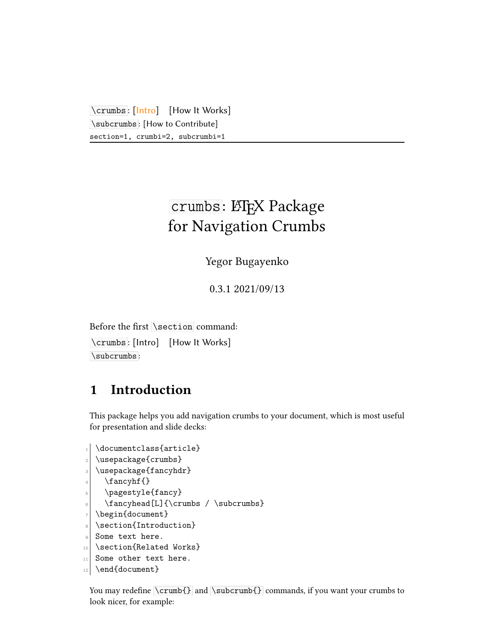\crumbs : [Intro] [How It Works] \subcrumbs : [How to Contribute] section=1, crumbi=2, subcrumbi=1

## crumbs: ETEX Package for Navigation Crumbs

Yegor Bugayenko

0.3.1 2021/09/13

Before the first \section command: \crumbs : [Intro] [How It Works] \subcrumbs :

## 1 Introduction

This package helps you add navigation crumbs to your document, which is most useful for presentation and slide decks:

```
1 \documentclass{article}
_2 \usepackage{crumbs}
<sup>3</sup> \usepackage{fancyhdr}
_4 \fancyhf{}
5 \pagestyle{fancy}
\left\{\right\} \fancyhead[L]{\crumbs / \subcrumbs}
7 \begin{document}
\vert \section{Introduction}
9 Some text here.
10 \section{Related Works}
11 Some other text here.
_{12} \end{document}
```
You may redefine  $\cr \cr \cr$  and  $\substack{\text{subcrumb{}}$  commands, if you want your crumbs to look nicer, for example: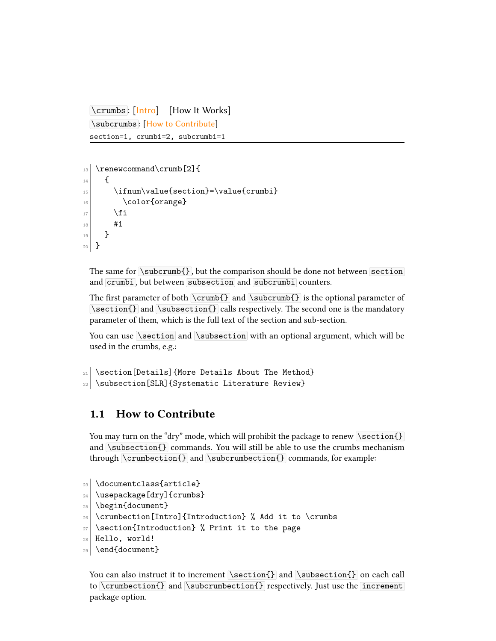```
\crumbs : [Intro] [How It Works]
\subcrumbs : [How to Contribute]
section=1, crumbi=2, subcrumbi=1
```

```
13 \renewcommand\crumb[2] {
14 {
\frac{15}{ } \ifnum\value{section}=\value{crumbi}
_{16} \color{orange}
_{17} \fi
\frac{1}{18} #1
_{19} }
_{20} }
```
The same for  $\sum_{f}$ , but the comparison should be done not between section and crumbi , but between subsection and subcrumbi counters.

The first parameter of both  $\crumb{\}$  and  $\sub{}$  is the optional parameter of  $\setminus$  and  $\subseteq$  and  $\subset$  alls respectively. The second one is the mandatory parameter of them, which is the full text of the section and sub-section.

You can use *\section and \subsection with an optional argument, which will be* used in the crumbs, e.g.:

 $_{21}$  \section [Details] {More Details About The Method}

 $|22|$  \subsection [SLR] {Systematic Literature Review}

## 1.1 How to Contribute

You may turn on the "dry" mode, which will prohibit the package to renew \section{} and  $\sum_{f}$  commands. You will still be able to use the crumbs mechanism through \crumbection{} and \subcrumbection{} commands, for example:

```
_{23} \documentclass{article}
```

```
_{24} \usepackage[dry]{crumbs}
```

```
_{25} \begin{document}
```

```
26 \crumbection[Intro]{Introduction} % Add it to \crumbs
```

```
27 \section{Introduction} % Print it to the page
```

```
28 Hello, world!
```

```
_{29} \end{document}
```
You can also instruct it to increment \section{} and \subsection{} on each call to \crumbection{} and \subcrumbection{} respectively. Just use the increment package option.